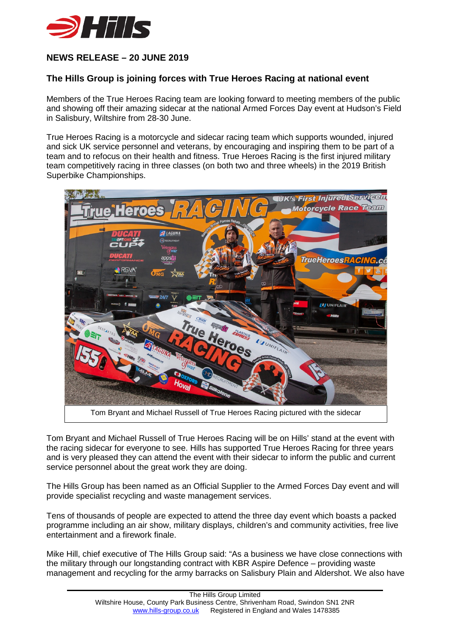

## **NEWS RELEASE – 20 JUNE 2019**

## **The Hills Group is joining forces with True Heroes Racing at national event**

Members of the True Heroes Racing team are looking forward to meeting members of the public and showing off their amazing sidecar at the national Armed Forces Day event at Hudson's Field in Salisbury, Wiltshire from 28-30 June.

True Heroes Racing is a motorcycle and sidecar racing team which supports wounded, injured and sick UK service personnel and veterans, by encouraging and inspiring them to be part of a team and to refocus on their health and fitness. True Heroes Racing is the first injured military team competitively racing in three classes (on both two and three wheels) in the 2019 British Superbike Championships.



Tom Bryant and Michael Russell of True Heroes Racing will be on Hills' stand at the event with the racing sidecar for everyone to see. Hills has supported True Heroes Racing for three years and is very pleased they can attend the event with their sidecar to inform the public and current service personnel about the great work they are doing.

The Hills Group has been named as an Official Supplier to the Armed Forces Day event and will provide specialist recycling and waste management services.

Tens of thousands of people are expected to attend the three day event which boasts a packed programme including an air show, military displays, children's and community activities, free live entertainment and a firework finale.

Mike Hill, chief executive of The Hills Group said: "As a business we have close connections with the military through our longstanding contract with KBR Aspire Defence – providing waste management and recycling for the army barracks on Salisbury Plain and Aldershot. We also have